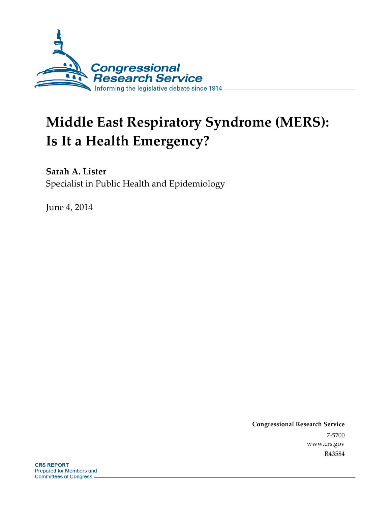

# **Middle East Respiratory Syndrome (MERS): Is It a Health Emergency?**

**Sarah A. Lister**  Specialist in Public Health and Epidemiology

June 4, 2014

**Congressional Research Service**  7-5700 www.crs.gov R43584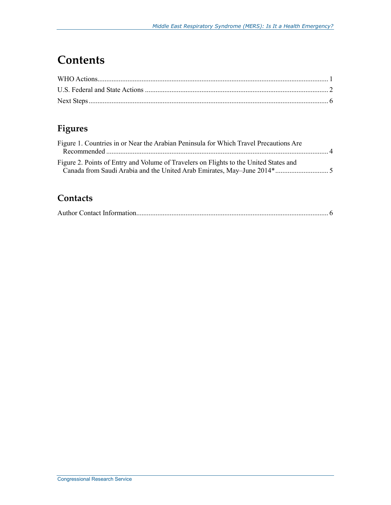# **Contents**

#### **Figures**

| Figure 1. Countries in or Near the Arabian Peninsula for Which Travel Precautions Are |  |
|---------------------------------------------------------------------------------------|--|
|                                                                                       |  |
| Figure 2. Points of Entry and Volume of Travelers on Flights to the United States and |  |
|                                                                                       |  |

#### **Contacts**

|--|--|--|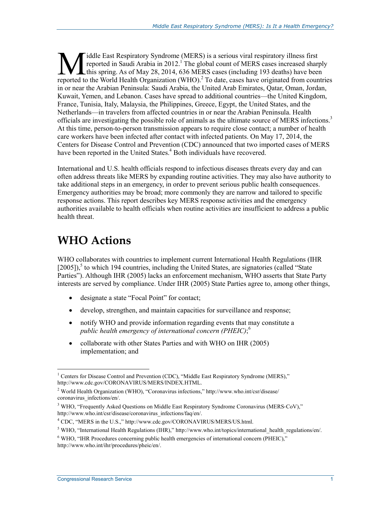iddle East Respiratory Syndrome (MERS) is a serious viral respiratory illness first reported in Saudi Arabia in 2012.<sup>1</sup> The global count of MERS cases increased sharply this spring. As of May 28, 2014, 636 MERS cases (including 193 deaths) have been **Tiddle East Respiratory Syndrome (MERS) is a serious viral respiratory illness first reported in Saudi Arabia in 2012.<sup>1</sup> The global count of MERS cases increased sharply this spring. As of May 28, 2014, 636 MERS cases (i** in or near the Arabian Peninsula: Saudi Arabia, the United Arab Emirates, Qatar, Oman, Jordan, Kuwait, Yemen, and Lebanon. Cases have spread to additional countries—the United Kingdom, France, Tunisia, Italy, Malaysia, the Philippines, Greece, Egypt, the United States, and the Netherlands—in travelers from affected countries in or near the Arabian Peninsula. Health officials are investigating the possible role of animals as the ultimate source of MERS infections.3 At this time, person-to-person transmission appears to require close contact; a number of health care workers have been infected after contact with infected patients. On May 17, 2014, the Centers for Disease Control and Prevention (CDC) announced that two imported cases of MERS have been reported in the United States.<sup>4</sup> Both individuals have recovered.

International and U.S. health officials respond to infectious diseases threats every day and can often address threats like MERS by expanding routine activities. They may also have authority to take additional steps in an emergency, in order to prevent serious public health consequences. Emergency authorities may be broad; more commonly they are narrow and tailored to specific response actions. This report describes key MERS response activities and the emergency authorities available to health officials when routine activities are insufficient to address a public health threat.

# **WHO Actions**

WHO collaborates with countries to implement current International Health Regulations (IHR [2005]),<sup>5</sup> to which 194 countries, including the United States, are signatories (called "State Parties"). Although IHR (2005) lacks an enforcement mechanism, WHO asserts that State Party interests are served by compliance. Under IHR (2005) State Parties agree to, among other things,

- designate a state "Focal Point" for contact;
- develop, strengthen, and maintain capacities for surveillance and response;
- notify WHO and provide information regarding events that may constitute a *public health emergency of international concern (PHEIC)*; 6
- collaborate with other States Parties and with WHO on IHR (2005) implementation; and

<sup>&</sup>lt;u>.</u> <sup>1</sup> Centers for Disease Control and Prevention (CDC), "Middle East Respiratory Syndrome (MERS)," http://www.cdc.gov/CORONAVIRUS/MERS/INDEX.HTML.

<sup>&</sup>lt;sup>2</sup> World Health Organization (WHO), "Coronavirus infections," http://www.who.int/csr/disease/ coronavirus\_infections/en/.

<sup>&</sup>lt;sup>3</sup> WHO, "Frequently Asked Questions on Middle East Respiratory Syndrome Coronavirus (MERS-CoV)," http://www.who.int/csr/disease/coronavirus\_infections/faq/en/.

<sup>&</sup>lt;sup>4</sup> CDC, "MERS in the U.S.," http://www.cdc.gov/CORONAVIRUS/MERS/US.html.

<sup>&</sup>lt;sup>5</sup> WHO, "International Health Regulations (IHR)," http://www.who.int/topics/international\_health\_regulations/en/.

<sup>&</sup>lt;sup>6</sup> WHO, "IHR Procedures concerning public health emergencies of international concern (PHEIC)," http://www.who.int/ihr/procedures/pheic/en/.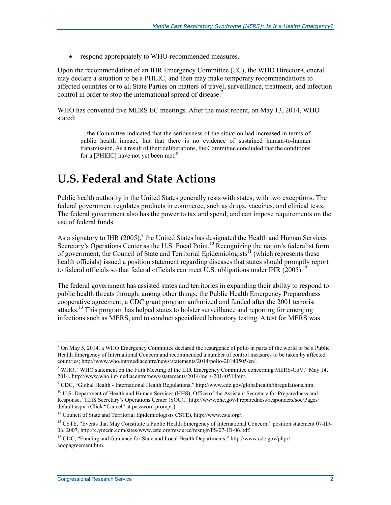• respond appropriately to WHO-recommended measures.

Upon the recommendation of an IHR Emergency Committee (EC), the WHO Director-General may declare a situation to be a PHEIC, and then may make temporary recommendations to affected countries or to all State Parties on matters of travel, surveillance, treatment, and infection control in order to stop the international spread of disease.<sup>7</sup>

WHO has convened five MERS EC meetings. After the most recent, on May 13, 2014, WHO stated:

... the Committee indicated that the seriousness of the situation had increased in terms of public health impact, but that there is no evidence of sustained human-to-human transmission. As a result of their deliberations, the Committee concluded that the conditions for a [PHEIC] have not yet been met. $8$ 

### **U.S. Federal and State Actions**

Public health authority in the United States generally rests with states, with two exceptions. The federal government regulates products in commerce, such as drugs, vaccines, and clinical tests. The federal government also has the power to tax and spend, and can impose requirements on the use of federal funds.

As a signatory to IHR  $(2005)$ , <sup>9</sup> the United States has designated the Health and Human Services Secretary's Operations Center as the U.S. Focal Point.<sup>10</sup> Recognizing the nation's federalist form of government, the Council of State and Territorial Epidemiologists<sup>11</sup> (which represents these health officials) issued a position statement regarding diseases that states should promptly report to federal officials so that federal officials can meet U.S. obligations under IHR (2005).<sup>12</sup>

The federal government has assisted states and territories in expanding their ability to respond to public health threats through, among other things, the Public Health Emergency Preparedness cooperative agreement, a CDC grant program authorized and funded after the 2001 terrorist attacks.<sup>13</sup> This program has helped states to bolster surveillance and reporting for emerging infections such as MERS, and to conduct specialized laboratory testing. A test for MERS was

<sup>&</sup>lt;u>.</u>  $^7$  On May 5, 2014, a WHO Emergency Committee declared the resurgence of polio in parts of the world to be a Public Health Emergency of International Concern and recommended a number of control measures to be taken by affected countries; http://www.who.int/mediacentre/news/statements/2014/polio-20140505/en/.

<sup>&</sup>lt;sup>8</sup> WHO, "WHO statement on the Fifth Meeting of the IHR Emergency Committee concerning MERS-CoV," May 14, 2014, http://www.who.int/mediacentre/news/statements/2014/mers-20140514/en/.

<sup>9</sup> CDC, "Global Health - International Health Regulations," http://www.cdc.gov/globalhealth/ihregulations.htm.

<sup>&</sup>lt;sup>10</sup> U.S. Department of Health and Human Services (HHS), Office of the Assistant Secretary for Preparedness and Response, "HHS Secretary's Operations Center (SOC)," http://www.phe.gov/Preparedness/responders/soc/Pages/ default.aspx. (Click "Cancel" at password prompt.)

<sup>11</sup> Council of State and Territorial Epidemiologists CSTE), http://www.cste.org/.

<sup>&</sup>lt;sup>12</sup> CSTE, "Events that May Constitute a Public Health Emergency of International Concern," position statement 07-ID-06, 2007, http://c.ymcdn.com/sites/www.cste.org/resource/resmgr/PS/07-ID-06.pdf.

<sup>&</sup>lt;sup>13</sup> CDC, "Funding and Guidance for State and Local Health Departments," http://www.cdc.gov/phpr/ coopagreement.htm.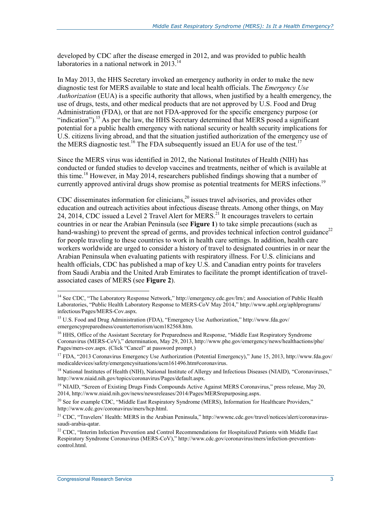developed by CDC after the disease emerged in 2012, and was provided to public health laboratories in a national network in 2013.<sup>14</sup>

In May 2013, the HHS Secretary invoked an emergency authority in order to make the new diagnostic test for MERS available to state and local health officials. The *Emergency Use Authorization* (EUA) is a specific authority that allows, when justified by a health emergency, the use of drugs, tests, and other medical products that are not approved by U.S. Food and Drug Administration (FDA), or that are not FDA-approved for the specific emergency purpose (or "indication").<sup>15</sup> As per the law, the HHS Secretary determined that MERS posed a significant potential for a public health emergency with national security or health security implications for U.S. citizens living abroad, and that the situation justified authorization of the emergency use of the MERS diagnostic test.<sup>16</sup> The FDA subsequently issued an EUA for use of the test.<sup>17</sup>

Since the MERS virus was identified in 2012, the National Institutes of Health (NIH) has conducted or funded studies to develop vaccines and treatments, neither of which is available at this time.<sup>18</sup> However, in May 2014, researchers published findings showing that a number of currently approved antiviral drugs show promise as potential treatments for MERS infections.<sup>19</sup>

CDC disseminates information for clinicians, $^{20}$  issues travel advisories, and provides other education and outreach activities about infectious disease threats. Among other things, on May 24, 2014, CDC issued a Level 2 Travel Alert for MERS.<sup>21</sup> It encourages travelers to certain countries in or near the Arabian Peninsula (see **Figure 1**) to take simple precautions (such as hand-washing) to prevent the spread of germs, and provides technical infection control guidance<sup>22</sup> for people traveling to these countries to work in health care settings. In addition, health care workers worldwide are urged to consider a history of travel to designated countries in or near the Arabian Peninsula when evaluating patients with respiratory illness. For U.S. clinicians and health officials, CDC has published a map of key U.S. and Canadian entry points for travelers from Saudi Arabia and the United Arab Emirates to facilitate the prompt identification of travelassociated cases of MERS (see **Figure 2**).

<u>.</u>

<sup>&</sup>lt;sup>14</sup> See CDC, "The Laboratory Response Network," http://emergency.cdc.gov/lrn/; and Association of Public Health Laboratories, "Public Health Laboratory Response to MERS-CoV May 2014," http://www.aphl.org/aphlprograms/ infectious/Pages/MERS-Cov.aspx.

<sup>&</sup>lt;sup>15</sup> U.S. Food and Drug Administration (FDA), "Emergency Use Authorization," http://www.fda.gov/ emergencypreparedness/counterterrorism/ucm182568.htm.

<sup>&</sup>lt;sup>16</sup> HHS, Office of the Assistant Secretary for Preparedness and Response, "Middle East Respiratory Syndrome Coronavirus (MERS-CoV)," determination, May 29, 2013, http://www.phe.gov/emergency/news/healthactions/phe/ Pages/mers-cov.aspx. (Click "Cancel" at password prompt.)

<sup>&</sup>lt;sup>17</sup> FDA, "2013 Coronavirus Emergency Use Authorization (Potential Emergency)," June 15, 2013, http://www.fda.gov/ medicaldevices/safety/emergencysituations/ucm161496.htm#coronavirus.

<sup>&</sup>lt;sup>18</sup> National Institutes of Health (NIH), National Institute of Allergy and Infectious Diseases (NIAID), "Coronaviruses," http://www.niaid.nih.gov/topics/coronavirus/Pages/default.aspx.

<sup>&</sup>lt;sup>19</sup> NIAID, "Screen of Existing Drugs Finds Compounds Active Against MERS Coronavirus," press release, May 20, 2014, http://www.niaid.nih.gov/news/newsreleases/2014/Pages/MERSrepurposing.aspx.

 $^{20}$  See for example CDC, "Middle East Respiratory Syndrome (MERS), Information for Healthcare Providers," http://www.cdc.gov/coronavirus/mers/hcp.html.

<sup>&</sup>lt;sup>21</sup> CDC, "Travelers' Health: MERS in the Arabian Peninsula," http://wwwnc.cdc.gov/travel/notices/alert/coronavirussaudi-arabia-qatar.

<sup>&</sup>lt;sup>22</sup> CDC, "Interim Infection Prevention and Control Recommendations for Hospitalized Patients with Middle East Respiratory Syndrome Coronavirus (MERS-CoV)," http://www.cdc.gov/coronavirus/mers/infection-preventioncontrol.html.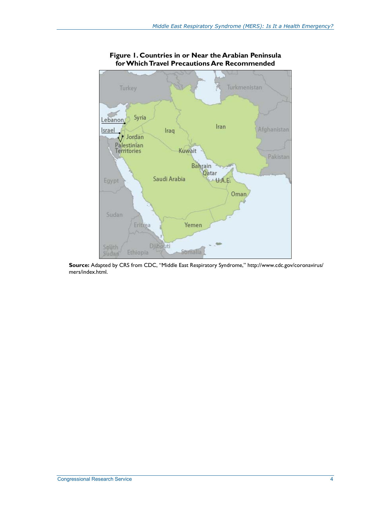

#### **Figure 1. Countries in or Near the Arabian Peninsula for Which Travel Precautions Are Recommended**

**Source:** Adapted by CRS from CDC, "Middle East Respiratory Syndrome," http://www.cdc.gov/coronavirus/ mers/index.html.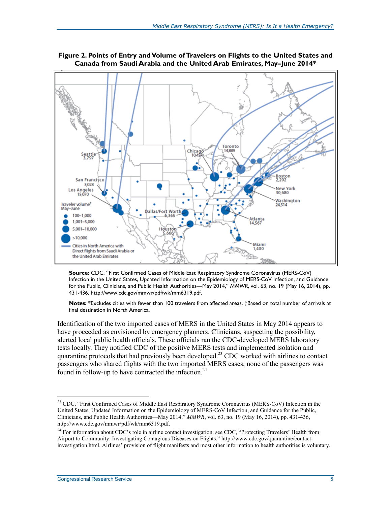

**Figure 2. Points of Entry and Volume of Travelers on Flights to the United States and Canada from Saudi Arabia and the United Arab Emirates, May–June 2014\*** 

**Source:** CDC, "First Confirmed Cases of Middle East Respiratory Syndrome Coronavirus (MERS-CoV) Infection in the United States, Updated Information on the Epidemiology of MERS-CoV Infection, and Guidance for the Public, Clinicians, and Public Health Authorities—May 2014," *MMWR*, vol. 63, no. 19 (May 16, 2014), pp. 431-436, http://www.cdc.gov/mmwr/pdf/wk/mm6319.pdf.

**Notes:** \*Excludes cities with fewer than 100 travelers from affected areas. †Based on total number of arrivals at final destination in North America.

Identification of the two imported cases of MERS in the United States in May 2014 appears to have proceeded as envisioned by emergency planners. Clinicians, suspecting the possibility, alerted local public health officials. These officials ran the CDC-developed MERS laboratory tests locally. They notified CDC of the positive MERS tests and implemented isolation and quarantine protocols that had previously been developed.<sup>23</sup> CDC worked with airlines to contact passengers who shared flights with the two imported MERS cases; none of the passengers was found in follow-up to have contracted the infection. $24$ 

1

<sup>&</sup>lt;sup>23</sup> CDC, "First Confirmed Cases of Middle East Respiratory Syndrome Coronavirus (MERS-CoV) Infection in the United States, Updated Information on the Epidemiology of MERS-CoV Infection, and Guidance for the Public, Clinicians, and Public Health Authorities—May 2014," *MMWR*, vol. 63, no. 19 (May 16, 2014), pp. 431-436, http://www.cdc.gov/mmwr/pdf/wk/mm6319.pdf.

<sup>&</sup>lt;sup>24</sup> For information about CDC's role in airline contact investigation, see CDC, "Protecting Travelers' Health from Airport to Community: Investigating Contagious Diseases on Flights," http://www.cdc.gov/quarantine/contactinvestigation.html. Airlines' provision of flight manifests and most other information to health authorities is voluntary.